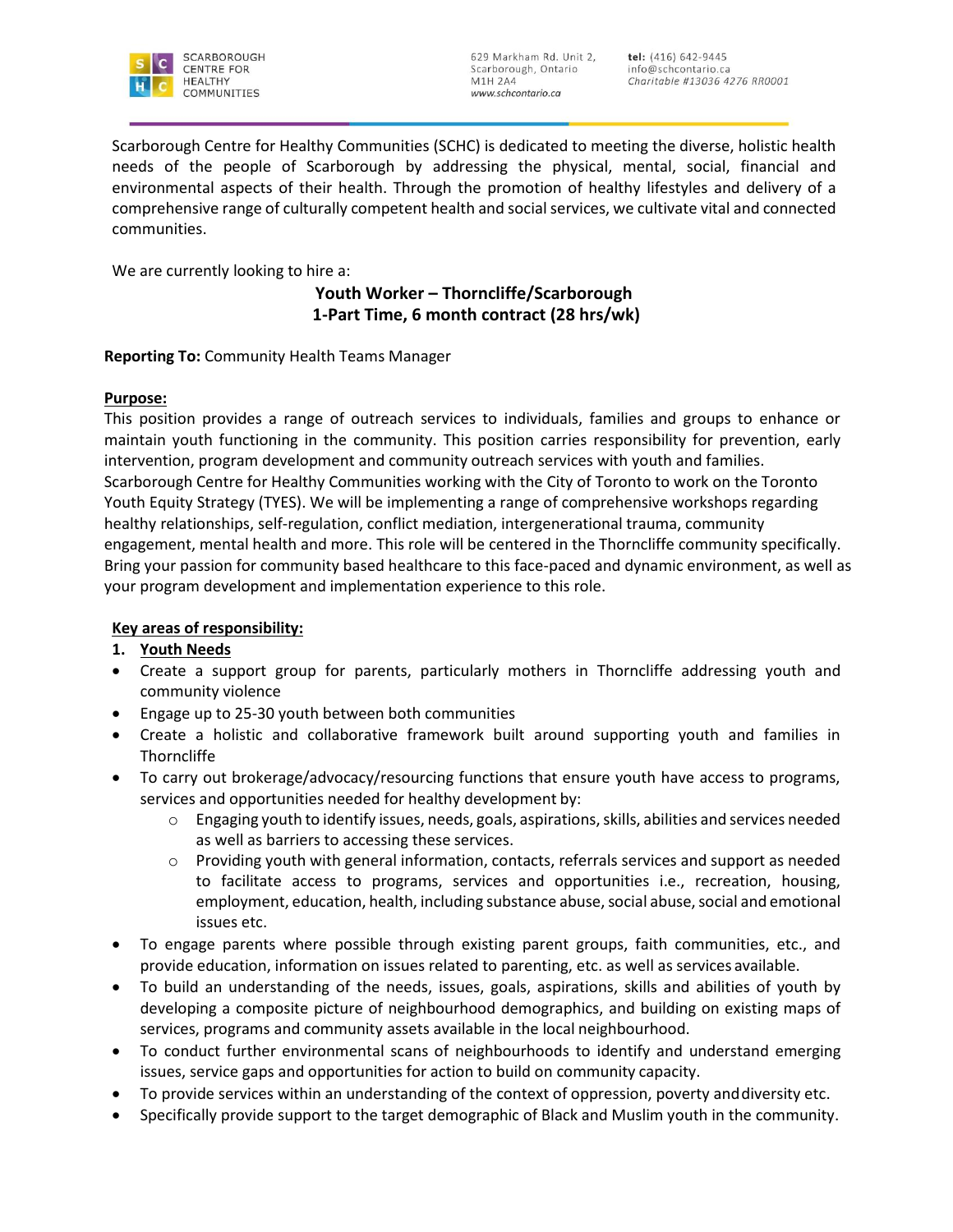

Scarborough Centre for Healthy Communities (SCHC) is dedicated to meeting the diverse, holistic health needs of the people of Scarborough by addressing the physical, mental, social, financial and environmental aspects of their health. Through the promotion of healthy lifestyles and delivery of a comprehensive range of culturally competent health and social services, we cultivate vital and connected communities.

We are currently looking to hire a:

## **Youth Worker – Thorncliffe/Scarborough 1-Part Time, 6 month contract (28 hrs/wk)**

### **Reporting To:** Community Health Teams Manager

#### **Purpose:**

This position provides a range of outreach services to individuals, families and groups to enhance or maintain youth functioning in the community. This position carries responsibility for prevention, early intervention, program development and community outreach services with youth and families. Scarborough Centre for Healthy Communities working with the City of Toronto to work on the Toronto Youth Equity Strategy (TYES). We will be implementing a range of comprehensive workshops regarding healthy relationships, self-regulation, conflict mediation, intergenerational trauma, community engagement, mental health and more. This role will be centered in the Thorncliffe community specifically. Bring your passion for community based healthcare to this face-paced and dynamic environment, as well as your program development and implementation experience to this role.

### **Key areas of responsibility:**

### **1. Youth Needs**

- Create a support group for parents, particularly mothers in Thorncliffe addressing youth and community violence
- Engage up to 25-30 youth between both communities
- Create a holistic and collaborative framework built around supporting youth and families in **Thorncliffe**
- To carry out brokerage/advocacy/resourcing functions that ensure youth have access to programs, services and opportunities needed for healthy development by:
	- Engaging youth to identify issues, needs, goals, aspirations, skills, abilities and services needed as well as barriers to accessing these services.
	- $\circ$  Providing youth with general information, contacts, referrals services and support as needed to facilitate access to programs, services and opportunities i.e., recreation, housing, employment, education, health, including substance abuse, social abuse, social and emotional issues etc.
- To engage parents where possible through existing parent groups, faith communities, etc., and provide education, information on issues related to parenting, etc. as well as services available.
- To build an understanding of the needs, issues, goals, aspirations, skills and abilities of youth by developing a composite picture of neighbourhood demographics, and building on existing maps of services, programs and community assets available in the local neighbourhood.
- To conduct further environmental scans of neighbourhoods to identify and understand emerging issues, service gaps and opportunities for action to build on community capacity.
- To provide services within an understanding of the context of oppression, poverty anddiversity etc.
- Specifically provide support to the target demographic of Black and Muslim youth in the community.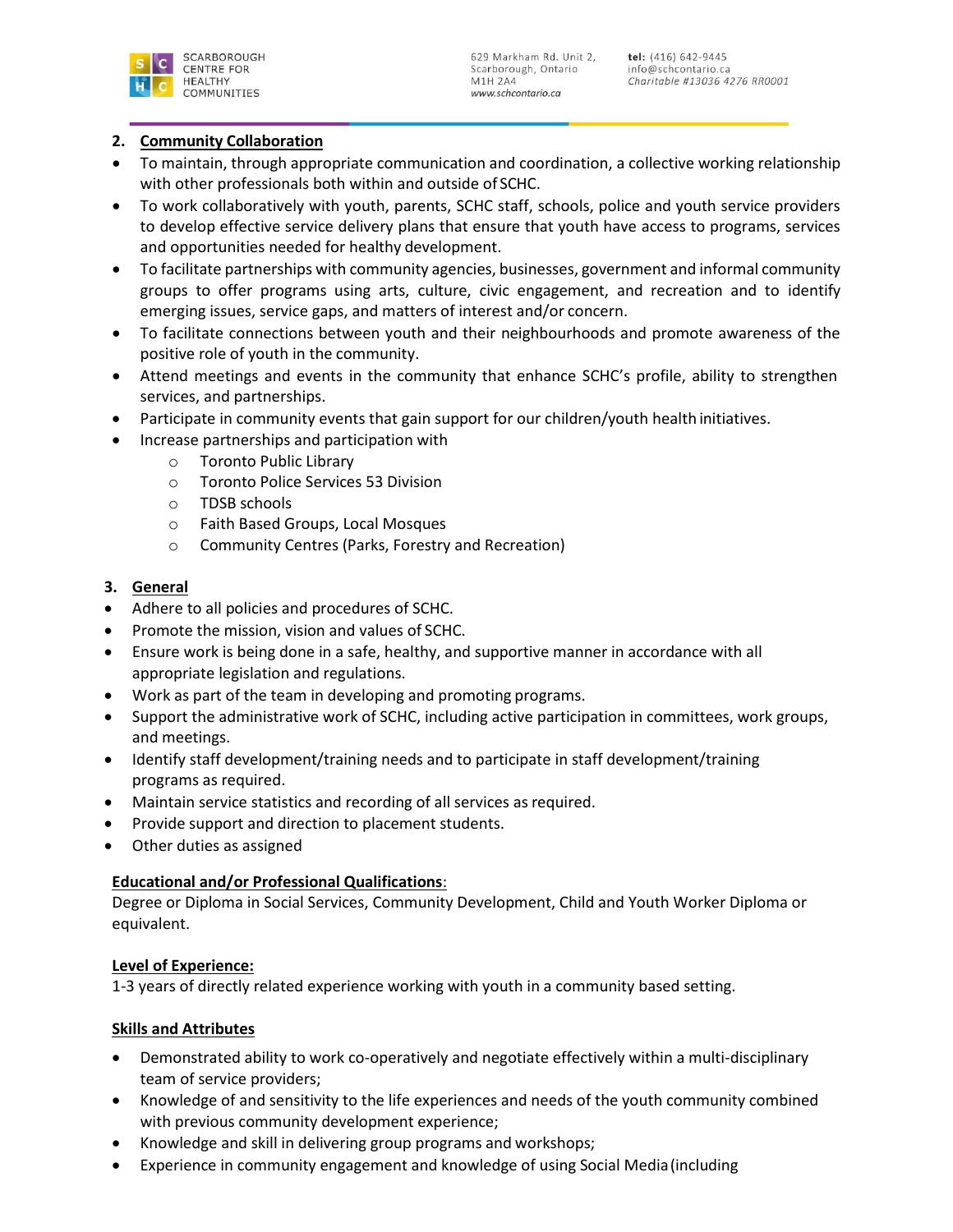

### **2. Community Collaboration**

- To maintain, through appropriate communication and coordination, a collective working relationship with other professionals both within and outside of SCHC.
- To work collaboratively with youth, parents, SCHC staff, schools, police and youth service providers to develop effective service delivery plans that ensure that youth have access to programs, services and opportunities needed for healthy development.
- To facilitate partnerships with community agencies, businesses, government and informal community groups to offer programs using arts, culture, civic engagement, and recreation and to identify emerging issues, service gaps, and matters of interest and/or concern.
- To facilitate connections between youth and their neighbourhoods and promote awareness of the positive role of youth in the community.
- Attend meetings and events in the community that enhance SCHC's profile, ability to strengthen services, and partnerships.
- Participate in community events that gain support for our children/youth health initiatives.
- Increase partnerships and participation with
	- o Toronto Public Library
	- o Toronto Police Services 53 Division
	- o TDSB schools
	- o Faith Based Groups, Local Mosques
	- o Community Centres (Parks, Forestry and Recreation)

### **3. General**

- Adhere to all policies and procedures of SCHC.
- Promote the mission, vision and values of SCHC.
- Ensure work is being done in a safe, healthy, and supportive manner in accordance with all appropriate legislation and regulations.
- Work as part of the team in developing and promoting programs.
- Support the administrative work of SCHC, including active participation in committees, work groups, and meetings.
- Identify staff development/training needs and to participate in staff development/training programs as required.
- Maintain service statistics and recording of all services as required.
- Provide support and direction to placement students.
- Other duties as assigned

# **Educational and/or Professional Qualifications**:

Degree or Diploma in Social Services, Community Development, Child and Youth Worker Diploma or equivalent.

### **Level of Experience:**

1-3 years of directly related experience working with youth in a community based setting.

### **Skills and Attributes**

- Demonstrated ability to work co-operatively and negotiate effectively within a multi-disciplinary team of service providers;
- Knowledge of and sensitivity to the life experiences and needs of the youth community combined with previous community development experience;
- Knowledge and skill in delivering group programs and workshops;
- Experience in community engagement and knowledge of using Social Media(including